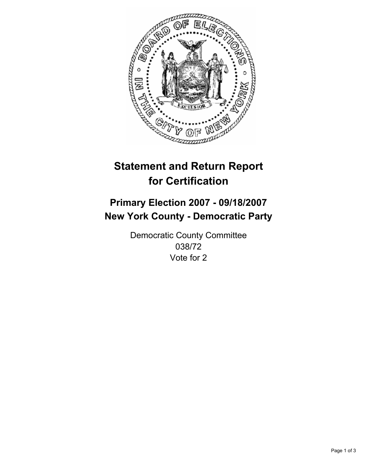

# **Statement and Return Report for Certification**

## **Primary Election 2007 - 09/18/2007 New York County - Democratic Party**

Democratic County Committee 038/72 Vote for 2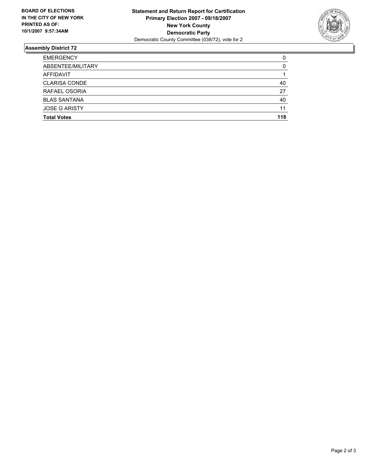

### **Assembly District 72**

| <b>EMERGENCY</b>     | C   |
|----------------------|-----|
| ABSENTEE/MILITARY    |     |
| AFFIDAVIT            |     |
| <b>CLARISA CONDE</b> | 40  |
| RAFAEL OSORIA        | 27  |
| <b>BLAS SANTANA</b>  | 40  |
| <b>JOSE G ARISTY</b> | 11  |
| <b>Total Votes</b>   | 118 |